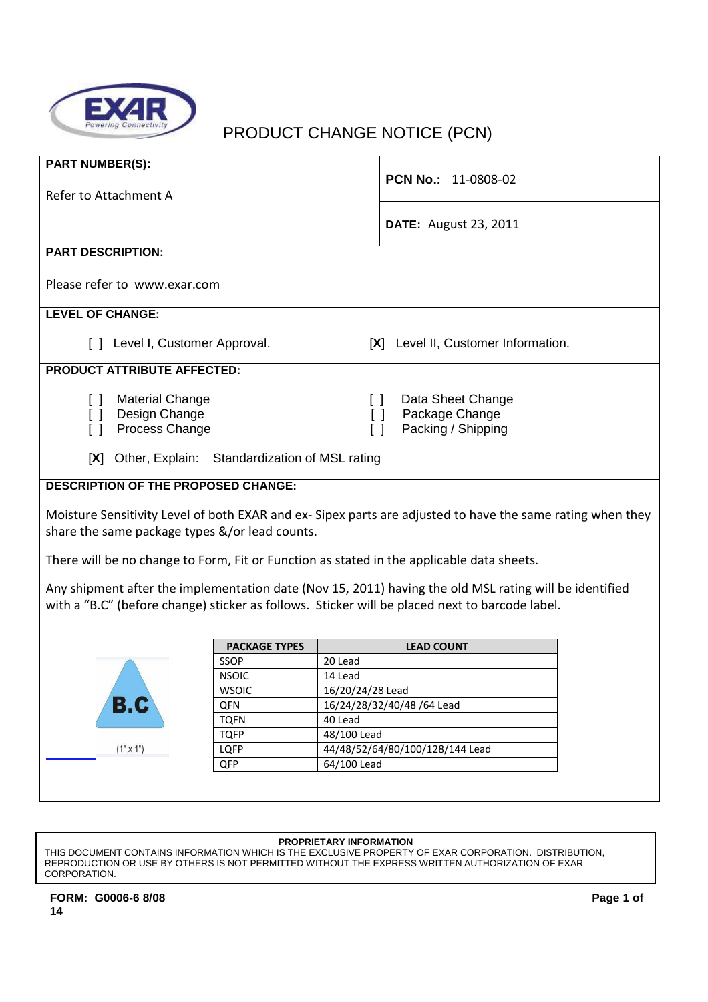

# PRODUCT CHANGE NOTICE (PCN)

| <b>PART NUMBER(S):</b>                                                                                                                                                        |                      |                  |                                                                                                                                                                                                          |  |
|-------------------------------------------------------------------------------------------------------------------------------------------------------------------------------|----------------------|------------------|----------------------------------------------------------------------------------------------------------------------------------------------------------------------------------------------------------|--|
| Refer to Attachment A                                                                                                                                                         |                      |                  | PCN No.: 11-0808-02                                                                                                                                                                                      |  |
|                                                                                                                                                                               |                      |                  | <b>DATE:</b> August 23, 2011                                                                                                                                                                             |  |
| <b>PART DESCRIPTION:</b>                                                                                                                                                      |                      |                  |                                                                                                                                                                                                          |  |
| Please refer to www.exar.com                                                                                                                                                  |                      |                  |                                                                                                                                                                                                          |  |
| <b>LEVEL OF CHANGE:</b>                                                                                                                                                       |                      |                  |                                                                                                                                                                                                          |  |
| [ ] Level I, Customer Approval.                                                                                                                                               |                      |                  | [X] Level II, Customer Information.                                                                                                                                                                      |  |
| <b>PRODUCT ATTRIBUTE AFFECTED:</b>                                                                                                                                            |                      |                  |                                                                                                                                                                                                          |  |
| <b>Material Change</b><br>$\lceil$ $\rceil$<br>Design Change<br>$\lceil$ $\rceil$<br>Process Change<br>$\lceil$ $\rceil$<br>[X] Other, Explain: Standardization of MSL rating |                      | $\Box$<br>$\Box$ | Data Sheet Change<br>Package Change<br>$\Box$<br>Packing / Shipping                                                                                                                                      |  |
| <b>DESCRIPTION OF THE PROPOSED CHANGE:</b>                                                                                                                                    |                      |                  |                                                                                                                                                                                                          |  |
| share the same package types &/or lead counts.<br>There will be no change to Form, Fit or Function as stated in the applicable data sheets.                                   |                      |                  | Moisture Sensitivity Level of both EXAR and ex-Sipex parts are adjusted to have the same rating when they                                                                                                |  |
|                                                                                                                                                                               |                      |                  | Any shipment after the implementation date (Nov 15, 2011) having the old MSL rating will be identified<br>with a "B.C" (before change) sticker as follows. Sticker will be placed next to barcode label. |  |
|                                                                                                                                                                               | <b>PACKAGE TYPES</b> |                  | <b>LEAD COUNT</b>                                                                                                                                                                                        |  |
|                                                                                                                                                                               | SSOP                 | 20 Lead          |                                                                                                                                                                                                          |  |
|                                                                                                                                                                               | <b>NSOIC</b>         | 14 Lead          |                                                                                                                                                                                                          |  |
|                                                                                                                                                                               | <b>WSOIC</b>         | 16/20/24/28 Lead |                                                                                                                                                                                                          |  |
|                                                                                                                                                                               | QFN                  |                  | 16/24/28/32/40/48 /64 Lead                                                                                                                                                                               |  |

### **PROPRIETARY INFORMATION**

LQFP 44/48/52/64/80/100/128/144 Lead

THIS DOCUMENT CONTAINS INFORMATION WHICH IS THE EXCLUSIVE PROPERTY OF EXAR CORPORATION. DISTRIBUTION, REPRODUCTION OR USE BY OTHERS IS NOT PERMITTED WITHOUT THE EXPRESS WRITTEN AUTHORIZATION OF EXAR CORPORATION.

TQFN 40 Lead TQFP 48/100 Lead

QFP 64/100 Lead

 $(1" \times 1")$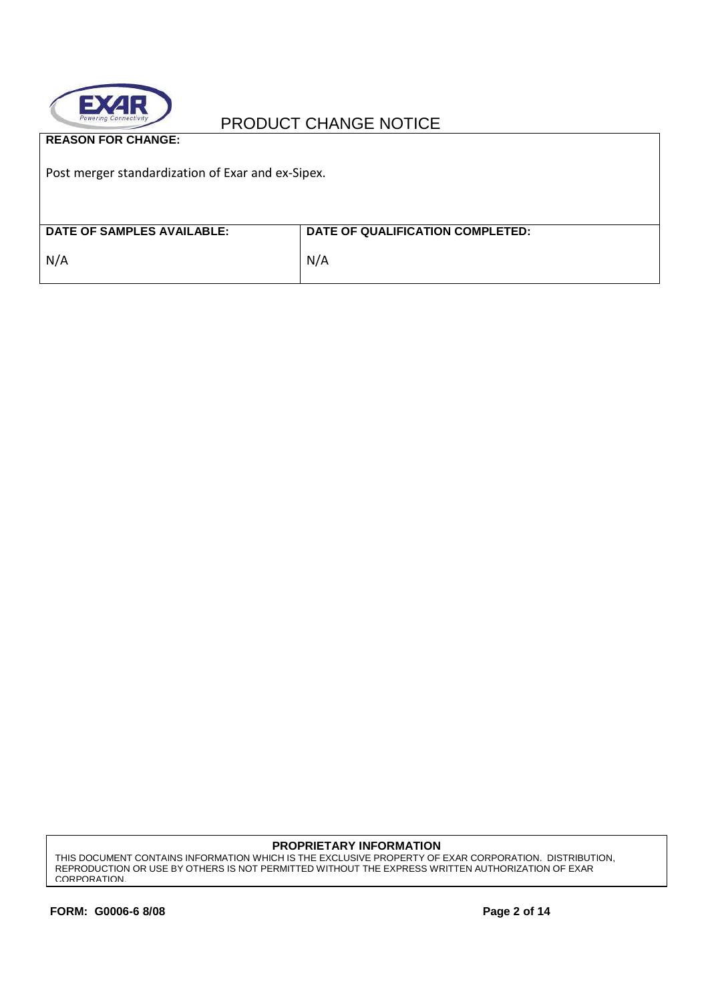

**REASON FOR CHANGE:** 

Post merger standardization of Exar and ex-Sipex.

| <b>DATE OF SAMPLES AVAILABLE:</b> | DATE OF QUALIFICATION COMPLETED: |
|-----------------------------------|----------------------------------|
| N/A                               | N/A                              |

**PROPRIETARY INFORMATION**

THIS DOCUMENT CONTAINS INFORMATION WHICH IS THE EXCLUSIVE PROPERTY OF EXAR CORPORATION. DISTRIBUTION, REPRODUCTION OR USE BY OTHERS IS NOT PERMITTED WITHOUT THE EXPRESS WRITTEN AUTHORIZATION OF EXAR CORPORATION.

**FORM: G0006-6 8/08 Page 2 of 14**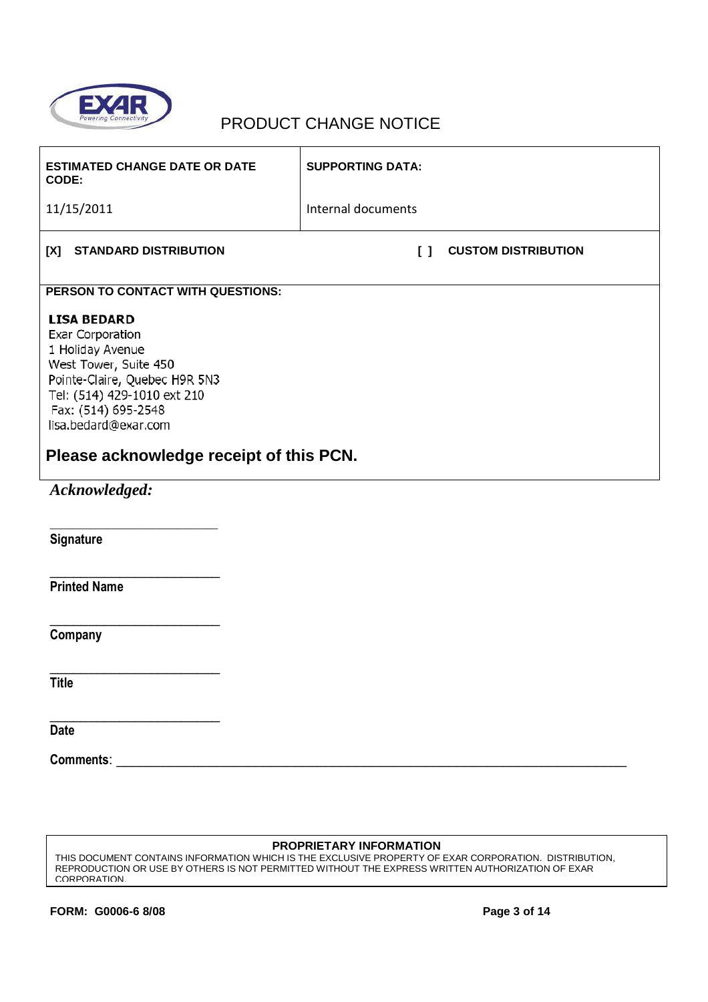

| <b>ESTIMATED CHANGE DATE OR DATE</b><br>CODE:                                                                                                                                                                                                 | <b>SUPPORTING DATA:</b>              |
|-----------------------------------------------------------------------------------------------------------------------------------------------------------------------------------------------------------------------------------------------|--------------------------------------|
| 11/15/2011                                                                                                                                                                                                                                    | Internal documents                   |
| <b>STANDARD DISTRIBUTION</b><br>[X]                                                                                                                                                                                                           | <b>CUSTOM DISTRIBUTION</b><br>$\Box$ |
| PERSON TO CONTACT WITH QUESTIONS:                                                                                                                                                                                                             |                                      |
| <b>LISA BEDARD</b><br>Exar Corporation<br>1 Holiday Avenue<br>West Tower, Suite 450<br>Pointe-Claire, Quebec H9R 5N3<br>Tel: (514) 429-1010 ext 210<br>Fax: (514) 695-2548<br>lisa.bedard@exar.com<br>Please acknowledge receipt of this PCN. |                                      |
| Acknowledged:                                                                                                                                                                                                                                 |                                      |
| Signature                                                                                                                                                                                                                                     |                                      |
| <b>Printed Name</b>                                                                                                                                                                                                                           |                                      |
| Company                                                                                                                                                                                                                                       |                                      |
| <b>Title</b>                                                                                                                                                                                                                                  |                                      |
| <b>Date</b>                                                                                                                                                                                                                                   |                                      |

**Comments**: \_\_\_\_\_\_\_\_\_\_\_\_\_\_\_\_\_\_\_\_\_\_\_\_\_\_\_\_\_\_\_\_\_\_\_\_\_\_\_\_\_\_\_\_\_\_\_\_\_\_\_\_\_\_\_\_\_\_\_\_\_\_\_\_\_\_

#### **PROPRIETARY INFORMATION**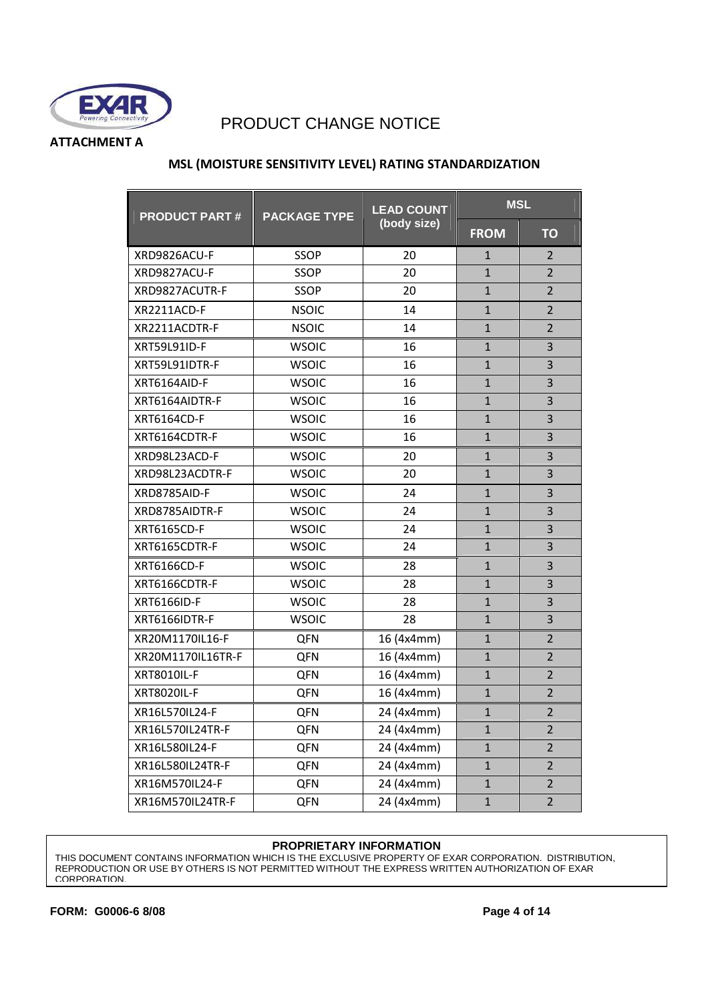

**ATTACHMENT A** 

#### **MSL (MOISTURE SENSITIVITY LEVEL) RATING STANDARDIZATION**

| <b>PRODUCT PART#</b> | <b>PACKAGE TYPE</b> | <b>LEAD COUNT</b> |                | <b>MSL</b>     |
|----------------------|---------------------|-------------------|----------------|----------------|
|                      |                     | (body size)       | <b>FROM</b>    | <b>TO</b>      |
| XRD9826ACU-F         | SSOP                | 20                | 1              | $\overline{2}$ |
| XRD9827ACU-F         | <b>SSOP</b>         | 20                | $\overline{1}$ | $\overline{2}$ |
| XRD9827ACUTR-F       | <b>SSOP</b>         | 20                | $\mathbf{1}$   | $\overline{2}$ |
| XR2211ACD-F          | <b>NSOIC</b>        | 14                | 1              | $\overline{2}$ |
| XR2211ACDTR-F        | <b>NSOIC</b>        | 14                | $\mathbf{1}$   | $\overline{2}$ |
| XRT59L91ID-F         | <b>WSOIC</b>        | 16                | $\mathbf{1}$   | 3              |
| XRT59L91IDTR-F       | <b>WSOIC</b>        | 16                | $\overline{1}$ | 3              |
| XRT6164AID-F         | <b>WSOIC</b>        | 16                | $\mathbf{1}$   | 3              |
| XRT6164AIDTR-F       | <b>WSOIC</b>        | 16                | $\mathbf{1}$   | 3              |
| XRT6164CD-F          | <b>WSOIC</b>        | 16                | $\mathbf{1}$   | 3              |
| XRT6164CDTR-F        | <b>WSOIC</b>        | 16                | $\overline{1}$ | 3              |
| XRD98L23ACD-F        | <b>WSOIC</b>        | 20                | $\mathbf{1}$   | 3              |
| XRD98L23ACDTR-F      | <b>WSOIC</b>        | 20                | $\mathbf{1}$   | 3              |
| XRD8785AID-F         | <b>WSOIC</b>        | 24                | $\mathbf{1}$   | 3              |
| XRD8785AIDTR-F       | <b>WSOIC</b>        | 24                | $\mathbf{1}$   | 3              |
| XRT6165CD-F          | <b>WSOIC</b>        | 24                | $\mathbf{1}$   | 3              |
| XRT6165CDTR-F        | <b>WSOIC</b>        | 24                | $\mathbf{1}$   | 3              |
| XRT6166CD-F          | <b>WSOIC</b>        | 28                | $\overline{1}$ | 3              |
| XRT6166CDTR-F        | <b>WSOIC</b>        | 28                | $\mathbf{1}$   | 3              |
| XRT6166ID-F          | <b>WSOIC</b>        | 28                | $\overline{1}$ | 3              |
| XRT6166IDTR-F        | <b>WSOIC</b>        | 28                | $\mathbf{1}$   | 3              |
| XR20M1170IL16-F      | QFN                 | 16 (4x4mm)        | $\mathbf{1}$   | $\overline{2}$ |
| XR20M1170IL16TR-F    | QFN                 | 16 (4x4mm)        | $\mathbf{1}$   | $\overline{2}$ |
| <b>XRT8010IL-F</b>   | QFN                 | 16 (4x4mm)        | $\mathbf{1}$   | $\overline{2}$ |
| <b>XRT8020IL-F</b>   | QFN                 | 16 (4x4mm)        | $\overline{1}$ | $\overline{2}$ |
| XR16L570IL24-F       | QFN                 | 24 (4x4mm)        | $\mathbf{1}$   | $\overline{2}$ |
| XR16L570IL24TR-F     | <b>QFN</b>          | 24 (4x4mm)        | $\mathbf{1}$   | $\overline{2}$ |
| XR16L580IL24-F       | <b>QFN</b>          | 24 (4x4mm)        | $\mathbf{1}$   | $\overline{2}$ |
| XR16L580IL24TR-F     | <b>QFN</b>          | 24 (4x4mm)        | $\mathbf{1}$   | $\overline{2}$ |
| XR16M570IL24-F       | <b>QFN</b>          | 24 (4x4mm)        | $\mathbf{1}$   | $\overline{2}$ |
| XR16M570IL24TR-F     | <b>QFN</b>          | 24 (4x4mm)        | $\mathbf{1}$   | $\overline{2}$ |

#### **PROPRIETARY INFORMATION**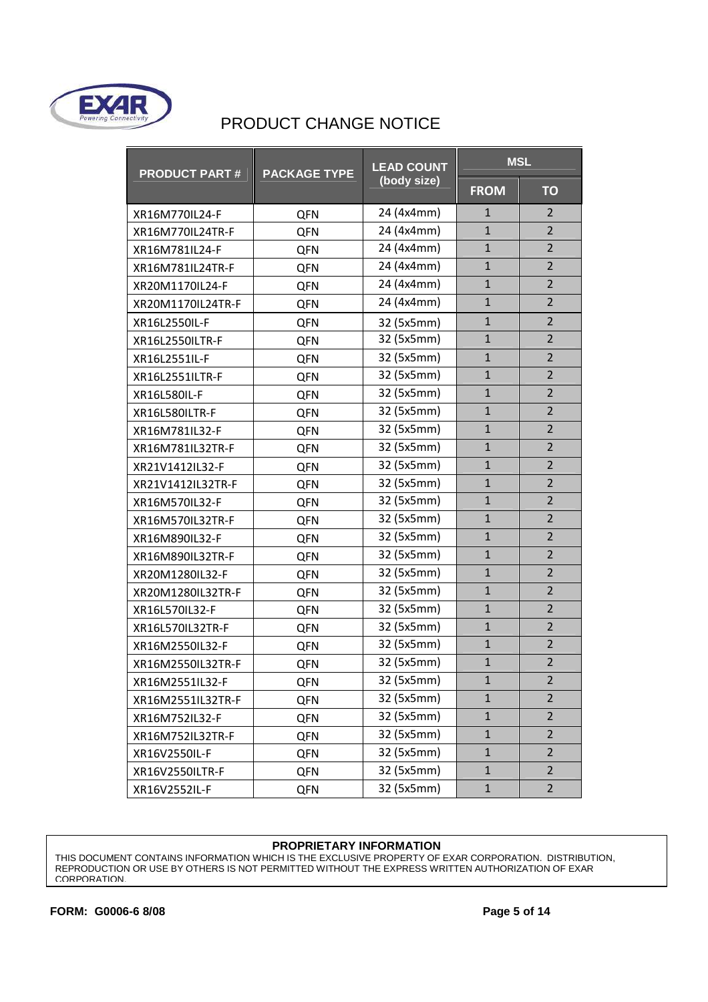

| <b>PRODUCT PART#</b> | <b>PACKAGE TYPE</b> | <b>LEAD COUNT</b> | <b>MSL</b>     |                |  |
|----------------------|---------------------|-------------------|----------------|----------------|--|
|                      |                     | (body size)       | <b>FROM</b>    | <b>TO</b>      |  |
| XR16M770IL24-F       | QFN                 | 24 (4x4mm)        | 1              | $\overline{2}$ |  |
| XR16M770IL24TR-F     | QFN                 | 24 (4x4mm)        | $\mathbf{1}$   | $\overline{2}$ |  |
| XR16M781IL24-F       | <b>QFN</b>          | 24 (4x4mm)        | $\mathbf{1}$   | $\overline{2}$ |  |
| XR16M781IL24TR-F     | QFN                 | 24 (4x4mm)        | $\mathbf{1}$   | $\overline{2}$ |  |
| XR20M1170IL24-F      | QFN                 | 24 (4x4mm)        | $\mathbf{1}$   | $\overline{2}$ |  |
| XR20M1170IL24TR-F    | QFN                 | 24 (4x4mm)        | $\mathbf{1}$   | $\overline{2}$ |  |
| XR16L2550IL-F        | <b>QFN</b>          | 32 (5x5mm)        | $\mathbf{1}$   | $\overline{2}$ |  |
| XR16L2550ILTR-F      | QFN                 | 32 (5x5mm)        | $\mathbf{1}$   | $\overline{2}$ |  |
| XR16L2551IL-F        | QFN                 | 32 (5x5mm)        | $\mathbf{1}$   | $\overline{2}$ |  |
| XR16L2551ILTR-F      | QFN                 | 32 (5x5mm)        | $\mathbf{1}$   | $\overline{2}$ |  |
| XR16L580IL-F         | QFN                 | 32 (5x5mm)        | $\mathbf{1}$   | $\overline{2}$ |  |
| XR16L580ILTR-F       | QFN                 | 32 (5x5mm)        | $\mathbf{1}$   | $\overline{2}$ |  |
| XR16M781IL32-F       | QFN                 | 32 (5x5mm)        | $\mathbf{1}$   | $\overline{2}$ |  |
| XR16M781IL32TR-F     | QFN                 | 32 (5x5mm)        | $\overline{1}$ | $\overline{2}$ |  |
| XR21V1412IL32-F      | QFN                 | 32 (5x5mm)        | $\mathbf{1}$   | $\overline{2}$ |  |
| XR21V1412IL32TR-F    | QFN                 | 32 (5x5mm)        | $\overline{1}$ | $\overline{2}$ |  |
| XR16M570IL32-F       | <b>QFN</b>          | 32 (5x5mm)        | $\mathbf{1}$   | $\overline{2}$ |  |
| XR16M570IL32TR-F     | QFN                 | 32 (5x5mm)        | $\mathbf{1}$   | $\overline{2}$ |  |
| XR16M890IL32-F       | <b>QFN</b>          | 32 (5x5mm)        | $\mathbf{1}$   | $\overline{2}$ |  |
| XR16M890IL32TR-F     | <b>QFN</b>          | 32 (5x5mm)        | $\mathbf{1}$   | $\overline{2}$ |  |
| XR20M1280IL32-F      | <b>QFN</b>          | 32 (5x5mm)        | $\mathbf{1}$   | $\overline{2}$ |  |
| XR20M1280IL32TR-F    | <b>QFN</b>          | 32 (5x5mm)        | $\mathbf{1}$   | $\overline{2}$ |  |
| XR16L570IL32-F       | <b>QFN</b>          | 32 (5x5mm)        | $\mathbf{1}$   | $\overline{2}$ |  |
| XR16L570IL32TR-F     | QFN                 | 32 (5x5mm)        | $\mathbf{1}$   | $\overline{2}$ |  |
| XR16M2550IL32-F      | QFN                 | 32 (5x5mm)        | $\mathbf{1}$   | $\overline{2}$ |  |
| XR16M2550IL32TR-F    | QFN                 | 32 (5x5mm)        | $\mathbf{1}$   | $\overline{2}$ |  |
| XR16M2551IL32-F      | QFN                 | 32 (5x5mm)        | $\mathbf{1}$   | $\overline{2}$ |  |
| XR16M2551IL32TR-F    | <b>QFN</b>          | 32 (5x5mm)        | $\mathbf{1}$   | $\overline{2}$ |  |
| XR16M752IL32-F       | <b>QFN</b>          | 32 (5x5mm)        | $\mathbf{1}$   | $\overline{2}$ |  |
| XR16M752IL32TR-F     | <b>QFN</b>          | 32 (5x5mm)        | $\mathbf{1}$   | $\overline{2}$ |  |
| XR16V2550IL-F        | <b>QFN</b>          | 32 (5x5mm)        | $\mathbf{1}$   | $\overline{2}$ |  |
| XR16V2550ILTR-F      | <b>QFN</b>          | 32 (5x5mm)        | $\mathbf{1}$   | $\overline{2}$ |  |
| XR16V2552IL-F        | QFN                 | 32 (5x5mm)        | $\mathbf{1}$   | $\overline{2}$ |  |

#### **PROPRIETARY INFORMATION**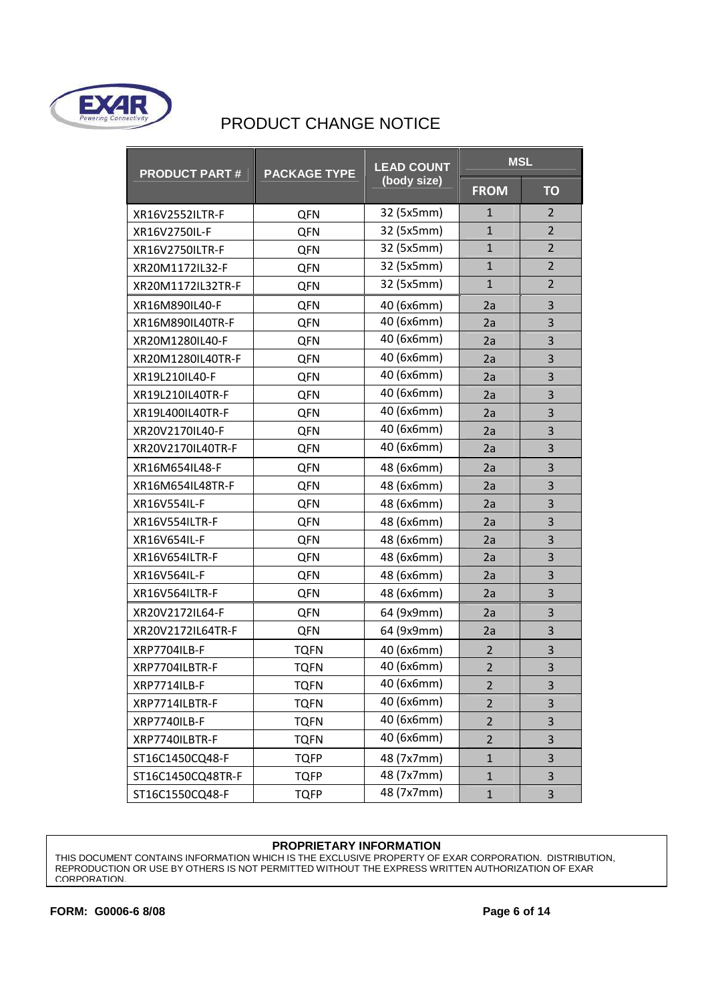

| <b>PRODUCT PART#</b> | <b>PACKAGE TYPE</b> | <b>LEAD COUNT</b> | <b>MSL</b>     |                |
|----------------------|---------------------|-------------------|----------------|----------------|
|                      |                     | (body size)       | <b>FROM</b>    | <b>TO</b>      |
| XR16V2552ILTR-F      | QFN                 | 32 (5x5mm)        | 1              | 2              |
| XR16V2750IL-F        | QFN                 | 32 (5x5mm)        | $\mathbf{1}$   | $\overline{2}$ |
| XR16V2750ILTR-F      | QFN                 | 32 (5x5mm)        | $\mathbf{1}$   | $\overline{2}$ |
| XR20M1172IL32-F      | QFN                 | 32 (5x5mm)        | $\mathbf{1}$   | $\overline{2}$ |
| XR20M1172IL32TR-F    | QFN                 | 32 (5x5mm)        | $\mathbf{1}$   | $\overline{2}$ |
| XR16M890IL40-F       | QFN                 | 40 (6x6mm)        | 2a             | 3              |
| XR16M890IL40TR-F     | QFN                 | 40 (6x6mm)        | 2a             | 3              |
| XR20M1280IL40-F      | QFN                 | 40 (6x6mm)        | 2a             | 3              |
| XR20M1280IL40TR-F    | QFN                 | 40 (6x6mm)        | 2a             | 3              |
| XR19L210IL40-F       | QFN                 | 40 (6x6mm)        | 2a             | 3              |
| XR19L210IL40TR-F     | QFN                 | 40 (6x6mm)        | 2a             | 3              |
| XR19L400IL40TR-F     | QFN                 | 40 (6x6mm)        | 2a             | 3              |
| XR20V2170IL40-F      | QFN                 | 40 (6x6mm)        | 2a             | 3              |
| XR20V2170IL40TR-F    | QFN                 | 40 (6x6mm)        | 2a             | 3              |
| XR16M654IL48-F       | QFN                 | 48 (6x6mm)        | 2a             | 3              |
| XR16M654IL48TR-F     | QFN                 | 48 (6x6mm)        | 2a             | 3              |
| XR16V554IL-F         | QFN                 | 48 (6x6mm)        | 2a             | 3              |
| XR16V554ILTR-F       | QFN                 | 48 (6x6mm)        | 2a             | 3              |
| XR16V654IL-F         | QFN                 | 48 (6x6mm)        | 2a             | 3              |
| XR16V654ILTR-F       | QFN                 | 48 (6x6mm)        | 2a             | 3              |
| XR16V564IL-F         | QFN                 | 48 (6x6mm)        | 2a             | 3              |
| XR16V564ILTR-F       | QFN                 | 48 (6x6mm)        | 2a             | 3              |
| XR20V2172IL64-F      | QFN                 | 64 (9x9mm)        | 2a             | 3              |
| XR20V2172IL64TR-F    | QFN                 | 64 (9x9mm)        | 2a             | 3              |
| XRP7704ILB-F         | <b>TQFN</b>         | 40 (6x6mm)        | $\overline{2}$ | 3              |
| XRP7704ILBTR-F       | <b>TQFN</b>         | 40 (6x6mm)        | $\overline{2}$ | 3              |
| XRP7714ILB-F         | <b>TQFN</b>         | 40 (6x6mm)        | $\overline{2}$ | 3              |
| XRP7714ILBTR-F       | <b>TQFN</b>         | 40 (6x6mm)        | $\overline{2}$ | 3              |
| XRP7740ILB-F         | <b>TQFN</b>         | 40 (6x6mm)        | $\overline{2}$ | 3              |
| XRP7740ILBTR-F       | TQFN                | 40 (6x6mm)        | $\overline{2}$ | 3              |
| ST16C1450CQ48-F      | <b>TQFP</b>         | 48 (7x7mm)        | $\mathbf{1}$   | 3              |
| ST16C1450CQ48TR-F    | <b>TQFP</b>         | 48 (7x7mm)        | $\mathbf{1}$   | 3              |
| ST16C1550CQ48-F      | <b>TQFP</b>         | 48 (7x7mm)        | $\mathbf{1}$   | 3              |

#### **PROPRIETARY INFORMATION**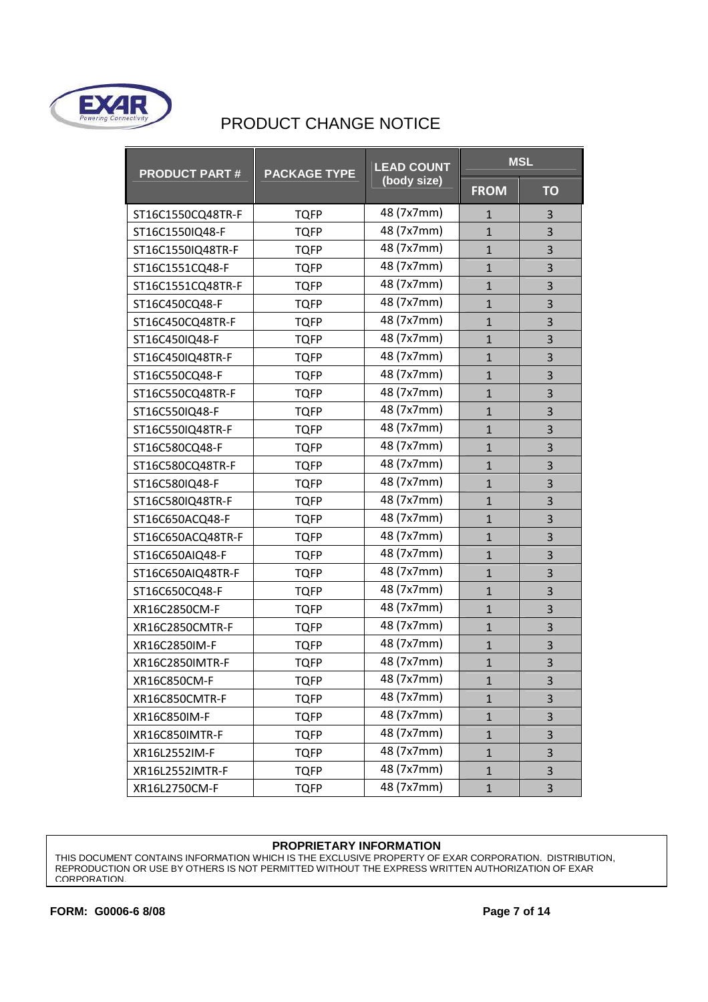

| <b>PRODUCT PART#</b> | <b>PACKAGE TYPE</b> | <b>LEAD COUNT</b> |              | <b>MSL</b>     |
|----------------------|---------------------|-------------------|--------------|----------------|
|                      |                     | (body size)       | <b>FROM</b>  | <b>TO</b>      |
| ST16C1550CQ48TR-F    | <b>TQFP</b>         | 48 (7x7mm)        | 1            | 3              |
| ST16C1550IQ48-F      | <b>TQFP</b>         | 48 (7x7mm)        | $\mathbf 1$  | 3              |
| ST16C1550IQ48TR-F    | <b>TQFP</b>         | 48 (7x7mm)        | $\mathbf{1}$ | 3              |
| ST16C1551CQ48-F      | <b>TQFP</b>         | 48 (7x7mm)        | $\mathbf{1}$ | 3              |
| ST16C1551CQ48TR-F    | <b>TQFP</b>         | 48 (7x7mm)        | $\mathbf{1}$ | 3              |
| ST16C450CQ48-F       | <b>TQFP</b>         | 48 (7x7mm)        | $\mathbf{1}$ | 3              |
| ST16C450CQ48TR-F     | <b>TQFP</b>         | 48 (7x7mm)        | $\mathbf{1}$ | 3              |
| ST16C450IQ48-F       | <b>TQFP</b>         | 48 (7x7mm)        | $\mathbf{1}$ | 3              |
| ST16C450IQ48TR-F     | <b>TQFP</b>         | 48 (7x7mm)        | $\mathbf{1}$ | $\overline{3}$ |
| ST16C550CQ48-F       | <b>TQFP</b>         | 48 (7x7mm)        | $\mathbf{1}$ | 3              |
| ST16C550CQ48TR-F     | <b>TQFP</b>         | 48 (7x7mm)        | $\mathbf{1}$ | 3              |
| ST16C550IQ48-F       | <b>TQFP</b>         | 48 (7x7mm)        | $\mathbf{1}$ | 3              |
| ST16C550IQ48TR-F     | <b>TQFP</b>         | 48 (7x7mm)        | $\mathbf{1}$ | 3              |
| ST16C580CQ48-F       | <b>TQFP</b>         | 48 (7x7mm)        | $\mathbf{1}$ | 3              |
| ST16C580CQ48TR-F     | <b>TQFP</b>         | 48 (7x7mm)        | $\mathbf{1}$ | 3              |
| ST16C580IQ48-F       | <b>TQFP</b>         | 48 (7x7mm)        | $\mathbf{1}$ | 3              |
| ST16C580IQ48TR-F     | <b>TQFP</b>         | 48 (7x7mm)        | $\mathbf{1}$ | $\overline{3}$ |
| ST16C650ACQ48-F      | <b>TQFP</b>         | 48 (7x7mm)        | $\mathbf{1}$ | 3              |
| ST16C650ACQ48TR-F    | <b>TQFP</b>         | 48 (7x7mm)        | $\mathbf{1}$ | 3              |
| ST16C650AIQ48-F      | <b>TQFP</b>         | 48 (7x7mm)        | $\mathbf{1}$ | 3              |
| ST16C650AIQ48TR-F    | <b>TQFP</b>         | 48 (7x7mm)        | $\mathbf{1}$ | 3              |
| ST16C650CQ48-F       | <b>TQFP</b>         | 48 (7x7mm)        | $\mathbf{1}$ | 3              |
| XR16C2850CM-F        | <b>TQFP</b>         | 48 (7x7mm)        | $\mathbf{1}$ | 3              |
| XR16C2850CMTR-F      | <b>TQFP</b>         | 48 (7x7mm)        | $\mathbf{1}$ | 3              |
| XR16C2850IM-F        | <b>TQFP</b>         | 48 (7x7mm)        | $\mathbf{1}$ | 3              |
| XR16C2850IMTR-F      | <b>TQFP</b>         | 48 (7x7mm)        | $\mathbf{1}$ | 3              |
| XR16C850CM-F         | <b>TQFP</b>         | 48 (7x7mm)        | $\mathbf{1}$ | 3              |
| XR16C850CMTR-F       | <b>TQFP</b>         | 48 (7x7mm)        | $\mathbf{1}$ | 3              |
| XR16C850IM-F         | <b>TQFP</b>         | 48 (7x7mm)        | $\mathbf{1}$ | 3              |
| XR16C850IMTR-F       | TQFP                | 48 (7x7mm)        | $\mathbf{1}$ | 3              |
| XR16L2552IM-F        | <b>TQFP</b>         | 48 (7x7mm)        | $\mathbf{1}$ | 3              |
| XR16L2552IMTR-F      | <b>TQFP</b>         | 48 (7x7mm)        | $\mathbf{1}$ | 3              |
| XR16L2750CM-F        | <b>TQFP</b>         | 48 (7x7mm)        | $\mathbf{1}$ | 3              |

#### **PROPRIETARY INFORMATION**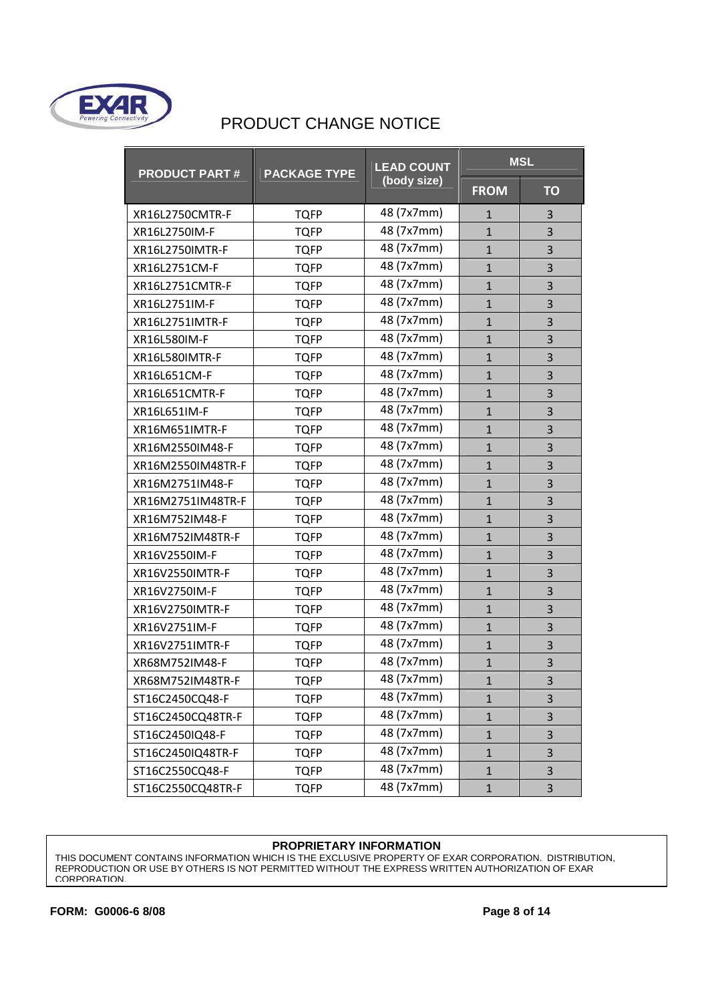

| <b>PRODUCT PART#</b> | <b>PACKAGE TYPE</b> | <b>LEAD COUNT</b> |              | <b>MSL</b>     |
|----------------------|---------------------|-------------------|--------------|----------------|
|                      |                     | (body size)       | <b>FROM</b>  | <b>TO</b>      |
| XR16L2750CMTR-F      | <b>TQFP</b>         | 48 (7x7mm)        | 1            | 3              |
| XR16L2750IM-F        | <b>TQFP</b>         | 48 (7x7mm)        | $\mathbf 1$  | 3              |
| XR16L2750IMTR-F      | <b>TQFP</b>         | 48 (7x7mm)        | $\mathbf{1}$ | 3              |
| XR16L2751CM-F        | <b>TQFP</b>         | 48 (7x7mm)        | $\mathbf{1}$ | 3              |
| XR16L2751CMTR-F      | <b>TQFP</b>         | 48 (7x7mm)        | $\mathbf{1}$ | 3              |
| XR16L2751IM-F        | <b>TQFP</b>         | 48 (7x7mm)        | $\mathbf{1}$ | 3              |
| XR16L2751IMTR-F      | <b>TQFP</b>         | 48 (7x7mm)        | $\mathbf{1}$ | 3              |
| XR16L580IM-F         | <b>TQFP</b>         | 48 (7x7mm)        | $\mathbf{1}$ | 3              |
| XR16L580IMTR-F       | <b>TQFP</b>         | 48 (7x7mm)        | $\mathbf{1}$ | 3              |
| XR16L651CM-F         | <b>TQFP</b>         | 48 (7x7mm)        | $\mathbf{1}$ | 3              |
| XR16L651CMTR-F       | <b>TQFP</b>         | 48 (7x7mm)        | $\mathbf{1}$ | 3              |
| XR16L651IM-F         | <b>TQFP</b>         | 48 (7x7mm)        | $\mathbf{1}$ | 3              |
| XR16M651IMTR-F       | <b>TQFP</b>         | 48 (7x7mm)        | $\mathbf{1}$ | 3              |
| XR16M2550IM48-F      | <b>TQFP</b>         | 48 (7x7mm)        | $\mathbf{1}$ | $\overline{3}$ |
| XR16M2550IM48TR-F    | <b>TQFP</b>         | 48 (7x7mm)        | $\mathbf{1}$ | $\overline{3}$ |
| XR16M2751IM48-F      | <b>TQFP</b>         | 48 (7x7mm)        | $\mathbf{1}$ | 3              |
| XR16M2751IM48TR-F    | <b>TQFP</b>         | 48 (7x7mm)        | $\mathbf{1}$ | $\overline{3}$ |
| XR16M752IM48-F       | <b>TQFP</b>         | 48 (7x7mm)        | $\mathbf{1}$ | 3              |
| XR16M752IM48TR-F     | <b>TQFP</b>         | 48 (7x7mm)        | $\mathbf{1}$ | 3              |
| XR16V2550IM-F        | <b>TQFP</b>         | 48 (7x7mm)        | $\mathbf{1}$ | 3              |
| XR16V2550IMTR-F      | <b>TQFP</b>         | 48 (7x7mm)        | $\mathbf{1}$ | 3              |
| XR16V2750IM-F        | <b>TQFP</b>         | 48 (7x7mm)        | $\mathbf{1}$ | 3              |
| XR16V2750IMTR-F      | <b>TQFP</b>         | 48 (7x7mm)        | $\mathbf{1}$ | 3              |
| XR16V2751IM-F        | <b>TQFP</b>         | 48 (7x7mm)        | $\mathbf{1}$ | 3              |
| XR16V2751IMTR-F      | <b>TQFP</b>         | 48 (7x7mm)        | $\mathbf{1}$ | 3              |
| XR68M752IM48-F       | <b>TQFP</b>         | 48 (7x7mm)        | $\mathbf{1}$ | 3              |
| XR68M752IM48TR-F     | <b>TQFP</b>         | 48 (7x7mm)        | $\mathbf{1}$ | 3              |
| ST16C2450CQ48-F      | TQFP                | 48 (7x7mm)        | $\mathbf{1}$ | 3              |
| ST16C2450CQ48TR-F    | <b>TQFP</b>         | 48 (7x7mm)        | $\mathbf{1}$ | 3              |
| ST16C2450IQ48-F      | TQFP                | 48 (7x7mm)        | $\mathbf{1}$ | 3              |
| ST16C2450IQ48TR-F    | <b>TQFP</b>         | 48 (7x7mm)        | $\mathbf{1}$ | 3              |
| ST16C2550CQ48-F      | <b>TQFP</b>         | 48 (7x7mm)        | $\mathbf{1}$ | 3              |
| ST16C2550CQ48TR-F    | <b>TQFP</b>         | 48 (7x7mm)        | $\mathbf{1}$ | 3              |

#### **PROPRIETARY INFORMATION**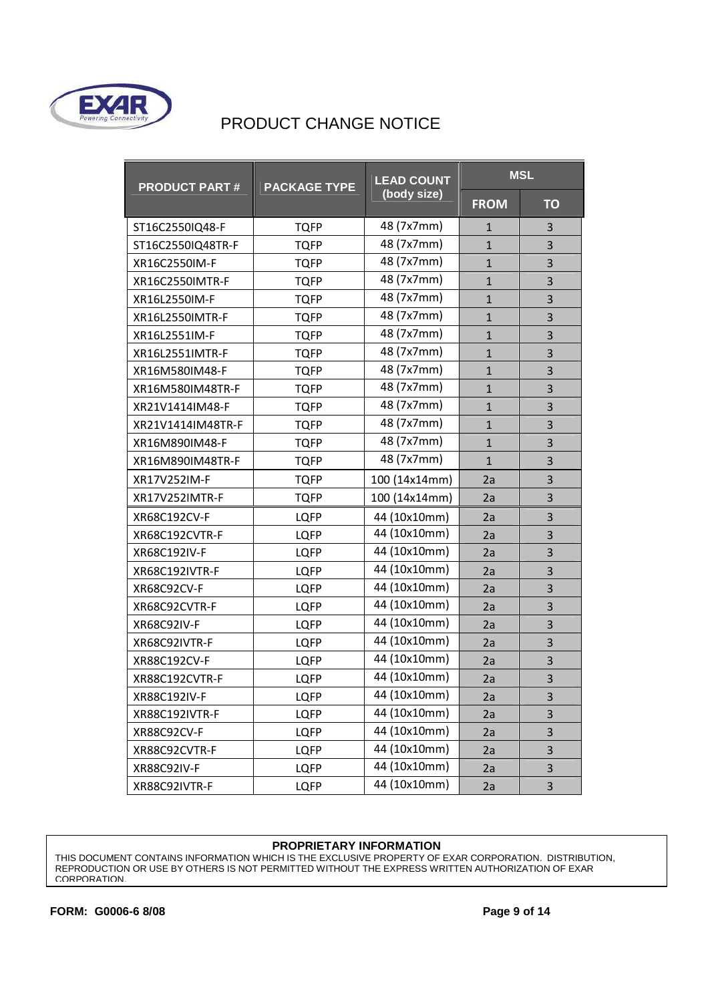

| <b>PRODUCT PART#</b> | <b>PACKAGE TYPE</b> | <b>LEAD COUNT</b> | <b>MSL</b>   |           |
|----------------------|---------------------|-------------------|--------------|-----------|
|                      |                     | (body size)       | <b>FROM</b>  | <b>TO</b> |
| ST16C2550IQ48-F      | <b>TQFP</b>         | 48 (7x7mm)        | $\mathbf{1}$ | 3         |
| ST16C2550IQ48TR-F    | <b>TQFP</b>         | 48 (7x7mm)        | $\mathbf{1}$ | 3         |
| XR16C2550IM-F        | <b>TQFP</b>         | 48 (7x7mm)        | $\mathbf{1}$ | 3         |
| XR16C2550IMTR-F      | <b>TQFP</b>         | 48 (7x7mm)        | $\mathbf{1}$ | 3         |
| XR16L2550IM-F        | <b>TQFP</b>         | 48 (7x7mm)        | $\mathbf{1}$ | 3         |
| XR16L2550IMTR-F      | <b>TQFP</b>         | 48 (7x7mm)        | $\mathbf{1}$ | 3         |
| XR16L2551IM-F        | <b>TQFP</b>         | 48 (7x7mm)        | $\mathbf{1}$ | 3         |
| XR16L2551IMTR-F      | <b>TQFP</b>         | 48 (7x7mm)        | $\mathbf{1}$ | 3         |
| XR16M580IM48-F       | TQFP                | 48 (7x7mm)        | $\mathbf{1}$ | 3         |
| XR16M580IM48TR-F     | <b>TQFP</b>         | 48 (7x7mm)        | $\mathbf{1}$ | 3         |
| XR21V1414IM48-F      | <b>TQFP</b>         | 48 (7x7mm)        | $\mathbf{1}$ | 3         |
| XR21V1414IM48TR-F    | <b>TQFP</b>         | 48 (7x7mm)        | $\mathbf{1}$ | 3         |
| XR16M890IM48-F       | <b>TQFP</b>         | 48 (7x7mm)        | $\mathbf{1}$ | 3         |
| XR16M890IM48TR-F     | <b>TQFP</b>         | 48 (7x7mm)        | $\mathbf{1}$ | 3         |
| XR17V252IM-F         | <b>TQFP</b>         | 100 (14x14mm)     | 2a           | 3         |
| XR17V252IMTR-F       | <b>TQFP</b>         | 100 (14x14mm)     | 2a           | 3         |
| XR68C192CV-F         | <b>LQFP</b>         | 44 (10x10mm)      | 2a           | 3         |
| XR68C192CVTR-F       | <b>LQFP</b>         | 44 (10x10mm)      | 2a           | 3         |
| XR68C192IV-F         | <b>LQFP</b>         | 44 (10x10mm)      | 2a           | 3         |
| XR68C192IVTR-F       | <b>LQFP</b>         | 44 (10x10mm)      | 2a           | 3         |
| XR68C92CV-F          | <b>LQFP</b>         | 44 (10x10mm)      | 2a           | 3         |
| XR68C92CVTR-F        | <b>LQFP</b>         | 44 (10x10mm)      | 2a           | 3         |
| <b>XR68C92IV-F</b>   | <b>LQFP</b>         | 44 (10x10mm)      | 2a           | 3         |
| XR68C92IVTR-F        | <b>LQFP</b>         | 44 (10x10mm)      | 2a           | 3         |
| XR88C192CV-F         | <b>LQFP</b>         | 44 (10x10mm)      | 2a           | 3         |
| XR88C192CVTR-F       | <b>LQFP</b>         | 44 (10x10mm)      | 2a           | 3         |
| XR88C192IV-F         | LQFP                | 44 (10x10mm)      | 2a           | 3         |
| XR88C192IVTR-F       | <b>LQFP</b>         | 44 (10x10mm)      | 2a           | 3         |
| XR88C92CV-F          | <b>LQFP</b>         | 44 (10x10mm)      | 2a           | 3         |
| XR88C92CVTR-F        | <b>LQFP</b>         | 44 (10x10mm)      | 2a           | 3         |
| XR88C92IV-F          | <b>LQFP</b>         | 44 (10x10mm)      | 2a           | 3         |
| XR88C92IVTR-F        | <b>LQFP</b>         | 44 (10x10mm)      | 2a           | 3         |

#### **PROPRIETARY INFORMATION**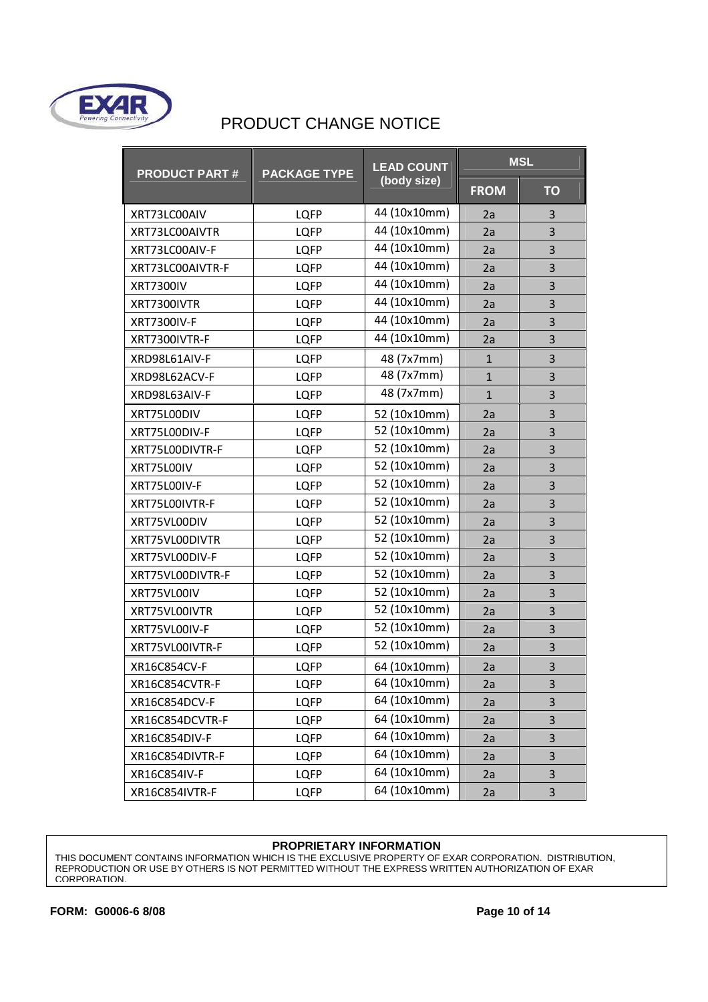

| <b>PRODUCT PART#</b> | <b>PACKAGE TYPE</b> | <b>LEAD COUNT</b> | <b>MSL</b>   |           |
|----------------------|---------------------|-------------------|--------------|-----------|
|                      |                     | (body size)       | <b>FROM</b>  | <b>TO</b> |
| XRT73LC00AIV         | <b>LQFP</b>         | 44 (10x10mm)      | 2a           | 3         |
| XRT73LC00AIVTR       | <b>LQFP</b>         | 44 (10x10mm)      | 2a           | 3         |
| XRT73LC00AIV-F       | <b>LQFP</b>         | 44 (10x10mm)      | 2a           | 3         |
| XRT73LC00AIVTR-F     | <b>LQFP</b>         | 44 (10x10mm)      | 2a           | 3         |
| <b>XRT7300IV</b>     | <b>LQFP</b>         | 44 (10x10mm)      | 2a           | 3         |
| XRT7300IVTR          | <b>LQFP</b>         | 44 (10x10mm)      | 2a           | 3         |
| <b>XRT7300IV-F</b>   | <b>LQFP</b>         | 44 (10x10mm)      | 2a           | 3         |
| XRT7300IVTR-F        | LQFP                | 44 (10x10mm)      | 2a           | 3         |
| XRD98L61AIV-F        | LQFP                | 48 (7x7mm)        | $\mathbf{1}$ | 3         |
| XRD98L62ACV-F        | <b>LQFP</b>         | 48 (7x7mm)        | $\mathbf{1}$ | 3         |
| XRD98L63AIV-F        | <b>LQFP</b>         | 48 (7x7mm)        | $\mathbf{1}$ | 3         |
| XRT75L00DIV          | <b>LQFP</b>         | 52 (10x10mm)      | 2a           | 3         |
| XRT75L00DIV-F        | LQFP                | 52 (10x10mm)      | 2a           | 3         |
| XRT75L00DIVTR-F      | <b>LQFP</b>         | 52 (10x10mm)      | 2a           | 3         |
| XRT75L00IV           | <b>LQFP</b>         | 52 (10x10mm)      | 2a           | 3         |
| XRT75L00IV-F         | <b>LQFP</b>         | 52 (10x10mm)      | 2a           | 3         |
| XRT75L00IVTR-F       | <b>LQFP</b>         | 52 (10x10mm)      | 2a           | 3         |
| XRT75VL00DIV         | <b>LQFP</b>         | 52 (10x10mm)      | 2a           | 3         |
| XRT75VL00DIVTR       | <b>LQFP</b>         | 52 (10x10mm)      | 2a           | 3         |
| XRT75VL00DIV-F       | <b>LQFP</b>         | 52 (10x10mm)      | 2a           | 3         |
| XRT75VL00DIVTR-F     | <b>LQFP</b>         | 52 (10x10mm)      | 2a           | 3         |
| XRT75VL00IV          | <b>LQFP</b>         | 52 (10x10mm)      | 2a           | 3         |
| XRT75VL00IVTR        | <b>LQFP</b>         | 52 (10x10mm)      | 2a           | 3         |
| XRT75VL00IV-F        | LQFP                | 52 (10x10mm)      | 2a           | 3         |
| XRT75VL00IVTR-F      | <b>LQFP</b>         | 52 (10x10mm)      | 2a           | 3         |
| XR16C854CV-F         | <b>LQFP</b>         | 64 (10x10mm)      | 2a           | 3         |
| XR16C854CVTR-F       | LQFP                | 64 (10x10mm)      | 2a           | 3         |
| XR16C854DCV-F        | <b>LQFP</b>         | 64 (10x10mm)      | 2a           | 3         |
| XR16C854DCVTR-F      | LQFP                | 64 (10x10mm)      | 2a           | 3         |
| XR16C854DIV-F        | <b>LQFP</b>         | 64 (10x10mm)      | 2a           | 3         |
| XR16C854DIVTR-F      | <b>LQFP</b>         | 64 (10x10mm)      | 2a           | 3         |
| XR16C854IV-F         | <b>LQFP</b>         | 64 (10x10mm)      | 2a           | 3         |
| XR16C854IVTR-F       | LQFP                | 64 (10x10mm)      | 2a           | 3         |

#### **PROPRIETARY INFORMATION**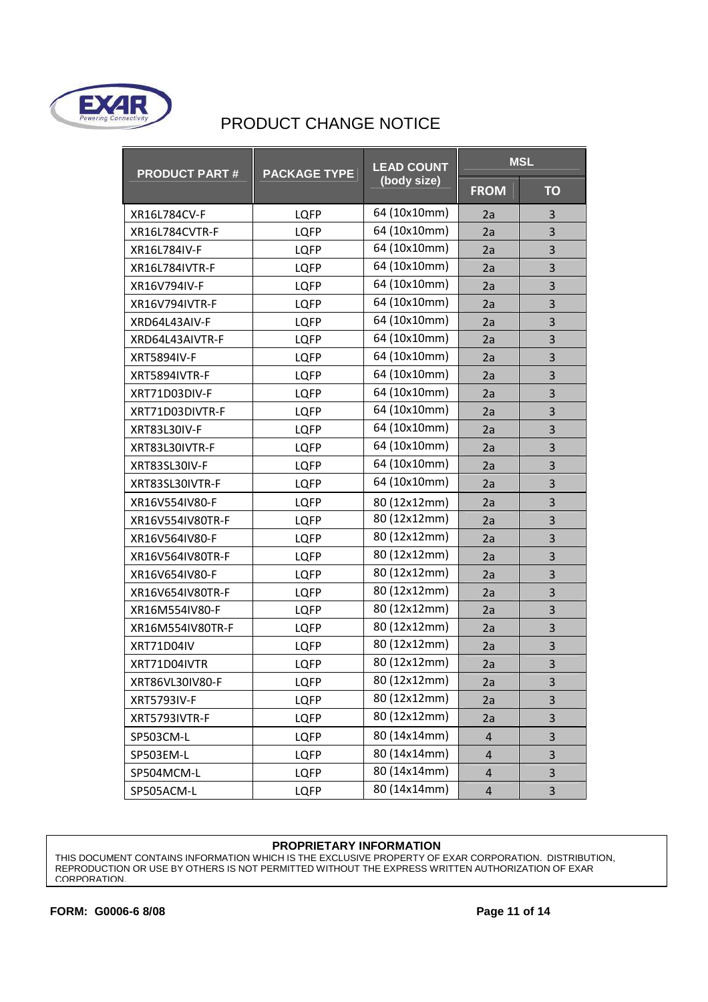

| <b>PRODUCT PART#</b> | <b>PACKAGE TYPE</b> | <b>LEAD COUNT</b> | <b>MSL</b>              |           |
|----------------------|---------------------|-------------------|-------------------------|-----------|
|                      |                     | (body size)       | <b>FROM</b>             | <b>TO</b> |
| XR16L784CV-F         | <b>LQFP</b>         | 64 (10x10mm)      | 2a                      | 3         |
| XR16L784CVTR-F       | <b>LQFP</b>         | 64 (10x10mm)      | 2a                      | 3         |
| XR16L784IV-F         | <b>LQFP</b>         | 64 (10x10mm)      | 2a                      | 3         |
| XR16L784IVTR-F       | <b>LQFP</b>         | 64 (10x10mm)      | 2a                      | 3         |
| XR16V794IV-F         | <b>LQFP</b>         | 64 (10x10mm)      | 2a                      | 3         |
| XR16V794IVTR-F       | <b>LQFP</b>         | 64 (10x10mm)      | 2a                      | 3         |
| XRD64L43AIV-F        | <b>LQFP</b>         | 64 (10x10mm)      | 2a                      | 3         |
| XRD64L43AIVTR-F      | <b>LQFP</b>         | 64 (10x10mm)      | 2a                      | 3         |
| <b>XRT5894IV-F</b>   | <b>LQFP</b>         | 64 (10x10mm)      | 2a                      | 3         |
| XRT5894IVTR-F        | LQFP                | 64 (10x10mm)      | 2a                      | 3         |
| XRT71D03DIV-F        | <b>LQFP</b>         | 64 (10x10mm)      | 2a                      | 3         |
| XRT71D03DIVTR-F      | <b>LQFP</b>         | 64 (10x10mm)      | 2a                      | 3         |
| XRT83L30IV-F         | <b>LQFP</b>         | 64 (10x10mm)      | 2a                      | 3         |
| XRT83L30IVTR-F       | <b>LQFP</b>         | 64 (10x10mm)      | 2a                      | 3         |
| XRT83SL30IV-F        | <b>LQFP</b>         | 64 (10x10mm)      | 2a                      | 3         |
| XRT83SL30IVTR-F      | <b>LQFP</b>         | 64 (10x10mm)      | 2a                      | 3         |
| XR16V554IV80-F       | <b>LQFP</b>         | 80 (12x12mm)      | 2a                      | 3         |
| XR16V554IV80TR-F     | LQFP                | 80 (12x12mm)      | 2a                      | 3         |
| XR16V564IV80-F       | LQFP                | 80 (12x12mm)      | 2a                      | 3         |
| XR16V564IV80TR-F     | <b>LQFP</b>         | 80 (12x12mm)      | 2a                      | 3         |
| XR16V654IV80-F       | <b>LQFP</b>         | 80 (12x12mm)      | 2a                      | 3         |
| XR16V654IV80TR-F     | <b>LQFP</b>         | 80 (12x12mm)      | 2a                      | 3         |
| XR16M554IV80-F       | <b>LQFP</b>         | 80 (12x12mm)      | 2a                      | 3         |
| XR16M554IV80TR-F     | <b>LQFP</b>         | 80 (12x12mm)      | 2a                      | 3         |
| XRT71D04IV           | <b>LQFP</b>         | 80 (12x12mm)      | 2a                      | 3         |
| XRT71D04IVTR         | <b>LQFP</b>         | 80 (12x12mm)      | 2a                      | 3         |
| XRT86VL30IV80-F      | <b>LQFP</b>         | 80 (12x12mm)      | 2a                      | 3         |
| <b>XRT5793IV-F</b>   | <b>LQFP</b>         | 80 (12x12mm)      | 2a                      | 3         |
| XRT5793IVTR-F        | LQFP                | 80 (12x12mm)      | 2a                      | 3         |
| SP503CM-L            | <b>LQFP</b>         | 80 (14x14mm)      | $\overline{4}$          | 3         |
| SP503EM-L            | <b>LQFP</b>         | 80 (14x14mm)      | $\overline{4}$          | 3         |
| SP504MCM-L           | LQFP                | 80 (14x14mm)      | $\overline{4}$          | 3         |
| SP505ACM-L           | <b>LQFP</b>         | 80 (14x14mm)      | $\overline{\mathbf{r}}$ | 3         |

#### **PROPRIETARY INFORMATION**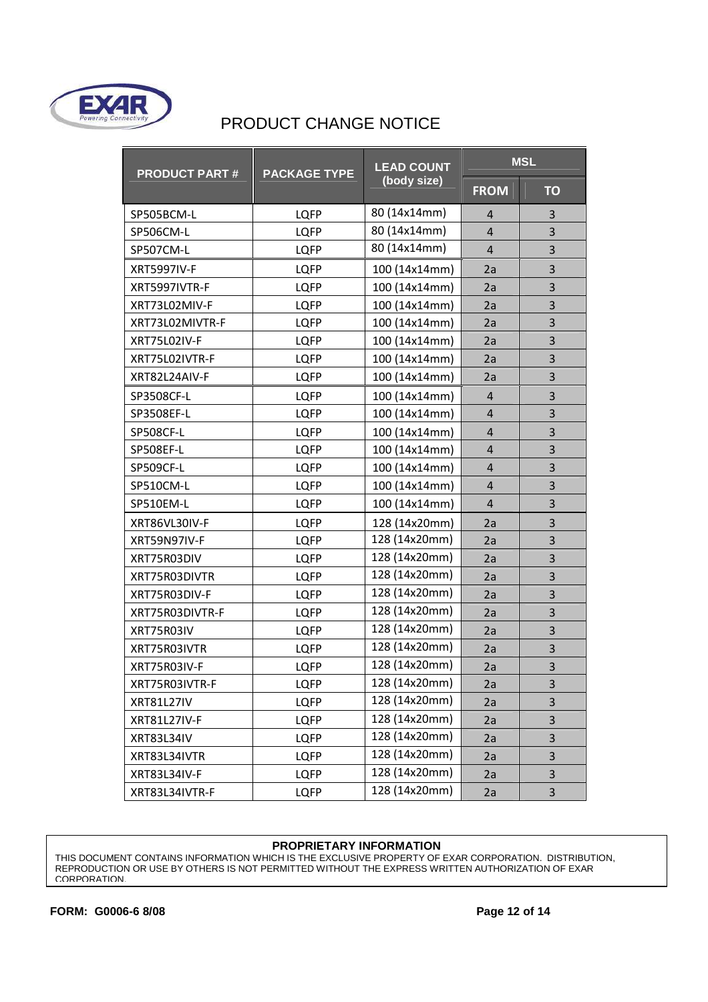

| <b>PRODUCT PART#</b> | <b>PACKAGE TYPE</b> | <b>LEAD COUNT</b> | <b>MSL</b>     |                         |
|----------------------|---------------------|-------------------|----------------|-------------------------|
|                      |                     | (body size)       | <b>FROM</b>    | <b>TO</b>               |
| SP505BCM-L           | <b>LQFP</b>         | 80 (14x14mm)      | 4              | 3                       |
| SP506CM-L            | <b>LQFP</b>         | 80 (14x14mm)      | $\overline{4}$ | 3                       |
| SP507CM-L            | <b>LQFP</b>         | 80 (14x14mm)      | 4              | 3                       |
| <b>XRT5997IV-F</b>   | <b>LQFP</b>         | 100 (14x14mm)     | 2a             | 3                       |
| XRT5997IVTR-F        | <b>LQFP</b>         | 100 (14x14mm)     | 2a             | 3                       |
| XRT73L02MIV-F        | <b>LQFP</b>         | 100 (14x14mm)     | 2a             | 3                       |
| XRT73L02MIVTR-F      | <b>LQFP</b>         | 100 (14x14mm)     | 2a             | 3                       |
| XRT75L02IV-F         | <b>LQFP</b>         | 100 (14x14mm)     | 2a             | 3                       |
| XRT75L02IVTR-F       | <b>LQFP</b>         | 100 (14x14mm)     | 2a             | 3                       |
| XRT82L24AIV-F        | <b>LQFP</b>         | 100 (14x14mm)     | 2a             | 3                       |
| SP3508CF-L           | <b>LQFP</b>         | 100 (14x14mm)     | $\overline{4}$ | 3                       |
| SP3508EF-L           | <b>LQFP</b>         | 100 (14x14mm)     | $\overline{4}$ | 3                       |
| <b>SP508CF-L</b>     | <b>LQFP</b>         | 100 (14x14mm)     | $\overline{4}$ | 3                       |
| SP508EF-L            | <b>LQFP</b>         | 100 (14x14mm)     | 4              | 3                       |
| <b>SP509CF-L</b>     | <b>LQFP</b>         | 100 (14x14mm)     | $\overline{4}$ | 3                       |
| SP510CM-L            | <b>LQFP</b>         | 100 (14x14mm)     | 4              | 3                       |
| SP510EM-L            | <b>LQFP</b>         | 100 (14x14mm)     | $\overline{4}$ | 3                       |
| XRT86VL30IV-F        | <b>LQFP</b>         | 128 (14x20mm)     | 2a             | 3                       |
| XRT59N97IV-F         | <b>LQFP</b>         | 128 (14x20mm)     | 2a             | 3                       |
| XRT75R03DIV          | <b>LQFP</b>         | 128 (14x20mm)     | 2a             | 3                       |
| XRT75R03DIVTR        | <b>LQFP</b>         | 128 (14x20mm)     | 2a             | $\overline{\mathbf{3}}$ |
| XRT75R03DIV-F        | <b>LQFP</b>         | 128 (14x20mm)     | 2a             | 3                       |
| XRT75R03DIVTR-F      | <b>LQFP</b>         | 128 (14x20mm)     | 2a             | 3                       |
| XRT75R03IV           | <b>LQFP</b>         | 128 (14x20mm)     | 2a             | 3                       |
| XRT75R03IVTR         | <b>LQFP</b>         | 128 (14x20mm)     | 2a             | 3                       |
| XRT75R03IV-F         | <b>LQFP</b>         | 128 (14x20mm)     | 2a             | 3                       |
| XRT75R03IVTR-F       | LQFP                | 128 (14x20mm)     | 2a             | 3                       |
| XRT81L27IV           | <b>LQFP</b>         | 128 (14x20mm)     | 2a             | 3                       |
| XRT81L27IV-F         | <b>LQFP</b>         | 128 (14x20mm)     | 2a             | 3                       |
| <b>XRT83L34IV</b>    | <b>LQFP</b>         | 128 (14x20mm)     | 2a             | 3                       |
| XRT83L34IVTR         | <b>LQFP</b>         | 128 (14x20mm)     | 2a             | 3                       |
| XRT83L34IV-F         | <b>LQFP</b>         | 128 (14x20mm)     | 2a             | 3                       |
| XRT83L34IVTR-F       | <b>LQFP</b>         | 128 (14x20mm)     | 2a             | 3                       |

#### **PROPRIETARY INFORMATION**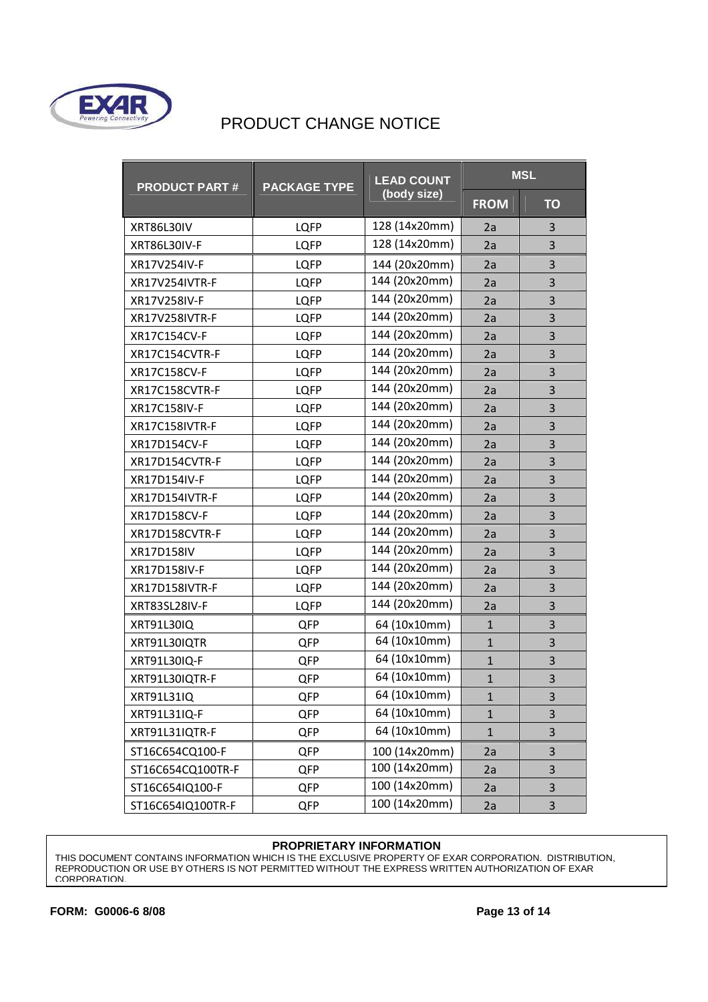

| <b>PRODUCT PART#</b>  | <b>PACKAGE TYPE</b> | <b>LEAD COUNT</b><br>(body size) | <b>MSL</b>   |                         |
|-----------------------|---------------------|----------------------------------|--------------|-------------------------|
|                       |                     |                                  | <b>FROM</b>  | <b>TO</b>               |
| <b>XRT86L30IV</b>     | <b>LQFP</b>         | 128 (14x20mm)                    | 2a           | 3                       |
| XRT86L30IV-F          | <b>LQFP</b>         | 128 (14x20mm)                    | 2a           | 3                       |
| XR17V254IV-F          | <b>LQFP</b>         | 144 (20x20mm)                    | 2a           | 3                       |
| XR17V254IVTR-F        | <b>LQFP</b>         | 144 (20x20mm)                    | 2a           | 3                       |
| XR17V258IV-F          | <b>LQFP</b>         | 144 (20x20mm)                    | 2a           | 3                       |
| <b>XR17V258IVTR-F</b> | <b>LQFP</b>         | 144 (20x20mm)                    | 2a           | 3                       |
| XR17C154CV-F          | <b>LQFP</b>         | 144 (20x20mm)                    | 2a           | 3                       |
| XR17C154CVTR-F        | <b>LQFP</b>         | 144 (20x20mm)                    | 2a           | 3                       |
| XR17C158CV-F          | <b>LQFP</b>         | 144 (20x20mm)                    | 2a           | 3                       |
| XR17C158CVTR-F        | <b>LQFP</b>         | 144 (20x20mm)                    | 2a           | 3                       |
| XR17C158IV-F          | <b>LQFP</b>         | 144 (20x20mm)                    | 2a           | 3                       |
| XR17C158IVTR-F        | <b>LQFP</b>         | 144 (20x20mm)                    | 2a           | 3                       |
| XR17D154CV-F          | <b>LQFP</b>         | 144 (20x20mm)                    | 2a           | 3                       |
| XR17D154CVTR-F        | <b>LQFP</b>         | 144 (20x20mm)                    | 2a           | $\overline{\mathbf{3}}$ |
| XR17D154IV-F          | <b>LQFP</b>         | 144 (20x20mm)                    | 2a           | 3                       |
| XR17D154IVTR-F        | <b>LQFP</b>         | 144 (20x20mm)                    | 2a           | 3                       |
| XR17D158CV-F          | <b>LQFP</b>         | 144 (20x20mm)                    | 2a           | 3                       |
| XR17D158CVTR-F        | <b>LQFP</b>         | 144 (20x20mm)                    | 2a           | 3                       |
| XR17D158IV            | <b>LQFP</b>         | 144 (20x20mm)                    | 2a           | 3                       |
| XR17D158IV-F          | <b>LQFP</b>         | 144 (20x20mm)                    | 2a           | 3                       |
| XR17D158IVTR-F        | <b>LQFP</b>         | 144 (20x20mm)                    | 2a           | 3                       |
| XRT83SL28IV-F         | LQFP                | 144 (20x20mm)                    | 2a           | 3                       |
| XRT91L30IQ            | QFP                 | 64 (10x10mm)                     | $\mathbf{1}$ | 3                       |
| XRT91L30IQTR          | QFP                 | 64 (10x10mm)                     | $\mathbf{1}$ | 3                       |
| XRT91L30IQ-F          | QFP                 | 64 (10x10mm)                     | $\mathbf{1}$ | 3                       |
| XRT91L30IQTR-F        | QFP                 | 64 (10x10mm)                     | $\mathbf{1}$ | 3                       |
| XRT91L31IQ            | QFP                 | 64 (10x10mm)                     | $\mathbf{1}$ | 3                       |
| XRT91L31IQ-F          | QFP                 | 64 (10x10mm)                     | $\mathbf{1}$ | 3                       |
| XRT91L31IQTR-F        | QFP                 | 64 (10x10mm)                     | $\mathbf{1}$ | 3                       |
| ST16C654CQ100-F       | QFP                 | 100 (14x20mm)                    | 2a           | 3                       |
| ST16C654CQ100TR-F     | QFP                 | 100 (14x20mm)                    | 2a           | 3                       |
| ST16C654IQ100-F       | QFP                 | 100 (14x20mm)                    | 2a           | 3                       |
| ST16C654IQ100TR-F     | QFP                 | 100 (14x20mm)                    | 2a           | 3                       |

#### **PROPRIETARY INFORMATION**